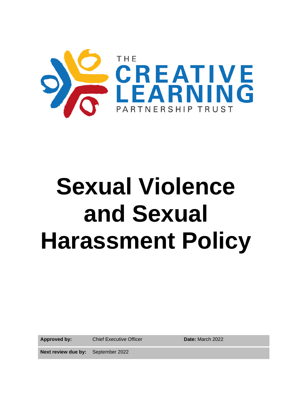

# **Sexual Violence and Sexual Harassment Policy**

**Approved by:** Chief Executive Officer **Date:** March 2022

**Next review due by:** September 2022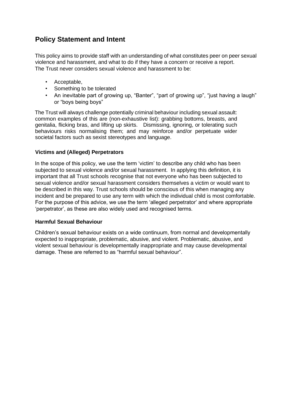# **Policy Statement and Intent**

This policy aims to provide staff with an understanding of what constitutes peer on peer sexual violence and harassment, and what to do if they have a concern or receive a report. The Trust never considers sexual violence and harassment to be:

- Acceptable,
- Something to be tolerated
- An inevitable part of growing up, "Banter", "part of growing up", "just having a laugh" or "boys being boys"

The Trust will always challenge potentially criminal behaviour including sexual assault: common examples of this are (non-exhaustive list): grabbing bottoms, breasts, and genitalia, flicking bras, and lifting up skirts. Dismissing, ignoring, or tolerating such behaviours risks normalising them; and may reinforce and/or perpetuate wider societal factors such as sexist stereotypes and language.

# **Victims and (Alleged) Perpetrators**

In the scope of this policy, we use the term 'victim' to describe any child who has been subjected to sexual violence and/or sexual harassment. In applying this definition, it is important that all Trust schools recognise that not everyone who has been subjected to sexual violence and/or sexual harassment considers themselves a victim or would want to be described in this way. Trust schools should be conscious of this when managing any incident and be prepared to use any term with which the individual child is most comfortable. For the purpose of this advice, we use the term 'alleged perpetrator' and where appropriate 'perpetrator', as these are also widely used and recognised terms.

# **Harmful Sexual Behaviour**

Children's sexual behaviour exists on a wide continuum, from normal and developmentally expected to inappropriate, problematic, abusive, and violent. Problematic, abusive, and violent sexual behaviour is developmentally inappropriate and may cause developmental damage. These are referred to as "harmful sexual behaviour".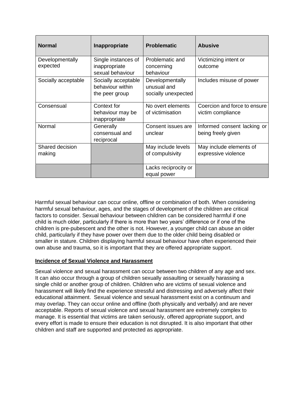| <b>Normal</b>               | Inappropriate                                             | <b>Problematic</b>                                    | <b>Abusive</b>                                    |
|-----------------------------|-----------------------------------------------------------|-------------------------------------------------------|---------------------------------------------------|
| Developmentally<br>expected | Single instances of<br>inappropriate<br>sexual behaviour  | Problematic and<br>concerning<br>behaviour            | Victimizing intent or<br>outcome                  |
| Socially acceptable         | Socially acceptable<br>behaviour within<br>the peer group | Developmentally<br>unusual and<br>socially unexpected | Includes misuse of power                          |
| Consensual                  | Context for<br>behaviour may be<br>inappropriate          | No overt elements<br>of victimisation                 | Coercion and force to ensure<br>victim compliance |
| Normal                      | Generally<br>consensual and<br>reciprocal                 | Consent issues are<br>unclear                         | Informed consent lacking or<br>being freely given |
| Shared decision<br>making   |                                                           | May include levels<br>of compulsivity                 | May include elements of<br>expressive violence    |
|                             |                                                           | Lacks reciprocity or<br>equal power                   |                                                   |

Harmful sexual behaviour can occur online, offline or combination of both. When considering harmful sexual behaviour, ages, and the stages of development of the children are critical factors to consider. Sexual behaviour between children can be considered harmful if one child is much older, particularly if there is more than two years' difference or if one of the children is pre-pubescent and the other is not. However, a younger child can abuse an older child, particularly if they have power over them due to the older child being disabled or smaller in stature. Children displaying harmful sexual behaviour have often experienced their own abuse and trauma, so it is important that they are offered appropriate support.

# **Incidence of Sexual Violence and Harassment**

Sexual violence and sexual harassment can occur between two children of any age and sex. It can also occur through a group of children sexually assaulting or sexually harassing a single child or another group of children. Children who are victims of sexual violence and harassment will likely find the experience stressful and distressing and adversely affect their educational attainment. Sexual violence and sexual harassment exist on a continuum and may overlap. They can occur online and offline (both physically and verbally) and are never acceptable. Reports of sexual violence and sexual harassment are extremely complex to manage. It is essential that victims are taken seriously, offered appropriate support, and every effort is made to ensure their education is not disrupted. It is also important that other children and staff are supported and protected as appropriate.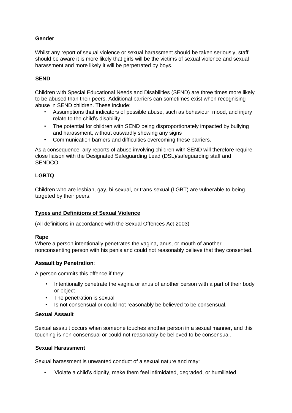# **Gender**

Whilst any report of sexual violence or sexual harassment should be taken seriously, staff should be aware it is more likely that girls will be the victims of sexual violence and sexual harassment and more likely it will be perpetrated by boys.

# **SEND**

Children with Special Educational Needs and Disabilities (SEND) are three times more likely to be abused than their peers. Additional barriers can sometimes exist when recognising abuse in SEND children. These include:

- Assumptions that indicators of possible abuse, such as behaviour, mood, and injury relate to the child's disability.
- The potential for children with SEND being disproportionately impacted by bullying and harassment, without outwardly showing any signs
- Communication barriers and difficulties overcoming these barriers.

As a consequence, any reports of abuse involving children with SEND will therefore require close liaison with the Designated Safeguarding Lead (DSL)/safeguarding staff and SENDCO.

# **LGBTQ**

Children who are lesbian, gay, bi-sexual, or trans-sexual (LGBT) are vulnerable to being targeted by their peers.

# **Types and Definitions of Sexual Violence**

(All definitions in accordance with the Sexual Offences Act 2003)

# **Rape**

Where a person intentionally penetrates the vagina, anus, or mouth of another nonconsenting person with his penis and could not reasonably believe that they consented.

# **Assault by Penetration**:

A person commits this offence if they:

- Intentionally penetrate the vagina or anus of another person with a part of their body or object
- The penetration is sexual
- Is not consensual or could not reasonably be believed to be consensual.

# **Sexual Assault**

Sexual assault occurs when someone touches another person in a sexual manner, and this touching is non-consensual or could not reasonably be believed to be consensual.

#### **Sexual Harassment**

Sexual harassment is unwanted conduct of a sexual nature and may:

• Violate a child's dignity, make them feel intimidated, degraded, or humiliated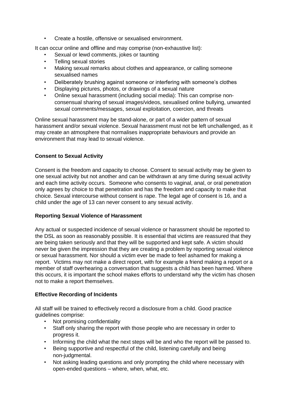• Create a hostile, offensive or sexualised environment.

It can occur online and offline and may comprise (non-exhaustive list):

- Sexual or lewd comments, jokes or taunting
- Telling sexual stories
- Making sexual remarks about clothes and appearance, or calling someone sexualised names
- Deliberately brushing against someone or interfering with someone's clothes
- Displaying pictures, photos, or drawings of a sexual nature
- Online sexual harassment (including social media): This can comprise nonconsensual sharing of sexual images/videos, sexualised online bullying, unwanted sexual comments/messages, sexual exploitation, coercion, and threats

Online sexual harassment may be stand-alone, or part of a wider pattern of sexual harassment and/or sexual violence. Sexual harassment must not be left unchallenged, as it may create an atmosphere that normalises inappropriate behaviours and provide an environment that may lead to sexual violence.

# **Consent to Sexual Activity**

Consent is the freedom and capacity to choose. Consent to sexual activity may be given to one sexual activity but not another and can be withdrawn at any time during sexual activity and each time activity occurs. Someone who consents to vaginal, anal, or oral penetration only agrees by choice to that penetration and has the freedom and capacity to make that choice. Sexual intercourse without consent is rape. The legal age of consent is 16, and a child under the age of 13 can never consent to any sexual activity.

# **Reporting Sexual Violence of Harassment**

Any actual or suspected incidence of sexual violence or harassment should be reported to the DSL as soon as reasonably possible. It is essential that victims are reassured that they are being taken seriously and that they will be supported and kept safe. A victim should never be given the impression that they are creating a problem by reporting sexual violence or sexual harassment. Nor should a victim ever be made to feel ashamed for making a report. Victims may not make a direct report, with for example a friend making a report or a member of staff overhearing a conversation that suggests a child has been harmed. Where this occurs, it is important the school makes efforts to understand why the victim has chosen not to make a report themselves.

# **Effective Recording of Incidents**

All staff will be trained to effectively record a disclosure from a child. Good practice guidelines comprise:

- Not promising confidentiality
- Staff only sharing the report with those people who are necessary in order to progress it.
- Informing the child what the next steps will be and who the report will be passed to.
- Being supportive and respectful of the child, listening carefully and being non-judgmental.
- Not asking leading questions and only prompting the child where necessary with open-ended questions – where, when, what, etc.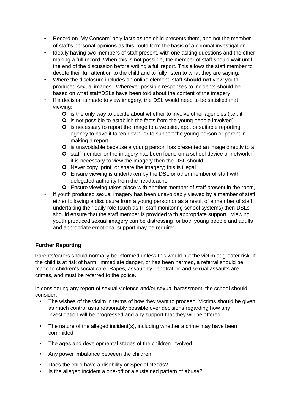- Record on 'My Concern' only facts as the child presents them, and not the member of staff's personal opinions as this could form the basis of a criminal investigation
- Ideally having two members of staff present, with one asking questions and the other making a full record. When this is not possible, the member of staff should wait until the end of the discussion before writing a full report. This allows the staff member to devote their full attention to the child and to fully listen to what they are saying.
- Where the disclosure includes an online element, staff **should not** view youth produced sexual images. Wherever possible responses to incidents should be based on what staff/DSLs have been told about the content of the imagery.
- If a decision is made to view imagery, the DSL would need to be satisfied that viewing:
	- **O** is the only way to decide about whether to involve other agencies (i.e., it
	- **O** is not possible to establish the facts from the young people involved)
	- **O** is necessary to report the image to a website, app, or suitable reporting agency to have it taken down, or to support the young person or parent in making a report
	- **O** is unavoidable because a young person has presented an image directly to a
	- **O** staff member or the imagery has been found on a school device or network if it is necessary to view the imagery then the DSL should:
	- **O** Never copy, print, or share the imagery; this is illegal
	- **O** Ensure viewing is undertaken by the DSL or other member of staff with delegated authority from the headteacher
	- Ensure viewing takes place with another member of staff present in the room,
- If youth produced sexual imagery has been unavoidably viewed by a member of staff either following a disclosure from a young person or as a result of a member of staff undertaking their daily role (such as IT staff monitoring school systems) then DSLs should ensure that the staff member is provided with appropriate support. Viewing youth produced sexual imagery can be distressing for both young people and adults and appropriate emotional support may be required.

# **Further Reporting**

Parents/carers should normally be informed unless this would put the victim at greater risk. If the child is at risk of harm, immediate danger, or has been harmed, a referral should be made to children's social care. Rapes, assault by penetration and sexual assaults are crimes, and must be referred to the police.

In considering any report of sexual violence and/or sexual harassment, the school should consider:

- The wishes of the victim in terms of how they want to proceed. Victims should be given as much control as is reasonably possible over decisions regarding how any investigation will be progressed and any support that they will be offered
- The nature of the alleged incident(s), including whether a crime may have been committed
- The ages and developmental stages of the children involved
- Any power imbalance between the children
- Does the child have a disability or Special Needs?
- Is the alleged incident a one-off or a sustained pattern of abuse?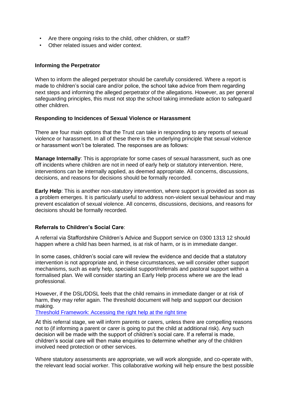- Are there ongoing risks to the child, other children, or staff?
- Other related issues and wider context.

#### **Informing the Perpetrator**

When to inform the alleged perpetrator should be carefully considered. Where a report is made to children's social care and/or police, the school take advice from them regarding next steps and informing the alleged perpetrator of the allegations. However, as per general safeguarding principles, this must not stop the school taking immediate action to safeguard other children.

#### **Responding to Incidences of Sexual Violence or Harassment**

There are four main options that the Trust can take in responding to any reports of sexual violence or harassment. In all of these there is the underlying principle that sexual violence or harassment won't be tolerated. The responses are as follows:

**Manage Internally**: This is appropriate for some cases of sexual harassment, such as one off incidents where children are not in need of early help or statutory intervention. Here, interventions can be internally applied, as deemed appropriate. All concerns, discussions, decisions, and reasons for decisions should be formally recorded.

**Early Help**: This is another non-statutory intervention, where support is provided as soon as a problem emerges. It is particularly useful to address non-violent sexual behaviour and may prevent escalation of sexual violence. All concerns, discussions, decisions, and reasons for decisions should be formally recorded.

# **Referrals to Children's Social Care**:

A referral via Staffordshire Children's Advice and Support service on 0300 1313 12 should happen where a child has been harmed, is at risk of harm, or is in immediate danger.

In some cases, children's social care will review the evidence and decide that a statutory intervention is not appropriate and, in these circumstances, we will consider other support mechanisms, such as early help, specialist support/referrals and pastoral support within a formalised plan. We will consider starting an Early Help process where we are the lead professional.

However, if the DSL/DDSL feels that the child remains in immediate danger or at risk of harm, they may refer again. The threshold document will help and support our decision making.

[Threshold Framework: Accessing the right help at the right time](https://www.staffsscb.org.uk/wp-content/uploads/2020/09/Threshold-Document.pdf)

At this referral stage, we will inform parents or carers, unless there are compelling reasons not to (if informing a parent or carer is going to put the child at additional risk). Any such decision will be made with the support of children's social care. If a referral is made, children's social care will then make enquiries to determine whether any of the children involved need protection or other services.

Where statutory assessments are appropriate, we will work alongside, and co-operate with, the relevant lead social worker. This collaborative working will help ensure the best possible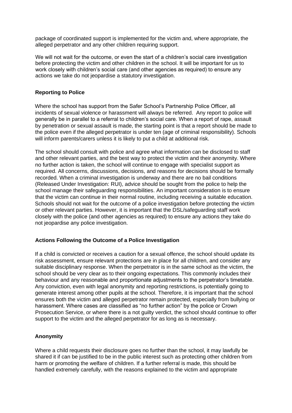package of coordinated support is implemented for the victim and, where appropriate, the alleged perpetrator and any other children requiring support.

We will not wait for the outcome, or even the start of a children's social care investigation before protecting the victim and other children in the school. It will be important for us to work closely with children's social care (and other agencies as required) to ensure any actions we take do not jeopardise a statutory investigation.

### **Reporting to Police**

Where the school has support from the Safer School's Partnership Police Officer, all incidents of sexual violence or harassment will always be referred. Any report to police will generally be in parallel to a referral to children's social care. When a report of rape, assault by penetration or sexual assault is made, the starting point is that a report should be made to the police even if the alleged perpetrator is under ten (age of criminal responsibility). Schools will inform parents/carers unless it is likely to put a child at additional risk.

The school should consult with police and agree what information can be disclosed to staff and other relevant parties, and the best way to protect the victim and their anonymity. Where no further action is taken, the school will continue to engage with specialist support as required. All concerns, discussions, decisions, and reasons for decisions should be formally recorded. When a criminal investigation is underway and there are no bail conditions (Released Under Investigation: RUI), advice should be sought from the police to help the school manage their safeguarding responsibilities. An important consideration is to ensure that the victim can continue in their normal routine, including receiving a suitable education. Schools should not wait for the outcome of a police investigation before protecting the victim or other relevant parties. However, it is important that the DSL/safeguarding staff work closely with the police (and other agencies as required) to ensure any actions they take do not jeopardise any police investigation.

#### **Actions Following the Outcome of a Police Investigation**

If a child is convicted or receives a caution for a sexual offence, the school should update its risk assessment, ensure relevant protections are in place for all children, and consider any suitable disciplinary response. When the perpetrator is in the same school as the victim, the school should be very clear as to their ongoing expectations. This commonly includes their behaviour and any reasonable and proportionate adjustments to the perpetrator's timetable. Any conviction, even with legal anonymity and reporting restrictions, is potentially going to generate interest among other pupils at the school. Therefore, it is important that the school ensures both the victim and alleged perpetrator remain protected, especially from bullying or harassment. Where cases are classified as "no further action" by the police or Crown Prosecution Service, or where there is a not guilty verdict, the school should continue to offer support to the victim and the alleged perpetrator for as long as is necessary.

# **Anonymity**

Where a child requests their disclosure goes no further than the school, it may lawfully be shared it if can be justified to be in the public interest such as protecting other children from harm or promoting the welfare of children. If a further referral is made, this should be handled extremely carefully, with the reasons explained to the victim and appropriate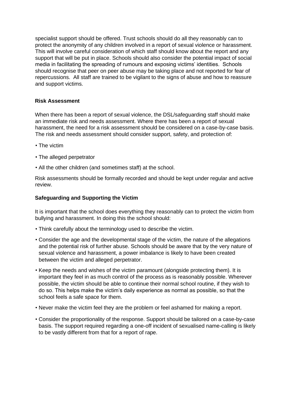specialist support should be offered. Trust schools should do all they reasonably can to protect the anonymity of any children involved in a report of sexual violence or harassment. This will involve careful consideration of which staff should know about the report and any support that will be put in place. Schools should also consider the potential impact of social media in facilitating the spreading of rumours and exposing victims' identities. Schools should recognise that peer on peer abuse may be taking place and not reported for fear of repercussions. All staff are trained to be vigilant to the signs of abuse and how to reassure and support victims.

# **Risk Assessment**

When there has been a report of sexual violence, the DSL/safeguarding staff should make an immediate risk and needs assessment. Where there has been a report of sexual harassment, the need for a risk assessment should be considered on a case-by-case basis. The risk and needs assessment should consider support, safety, and protection of:

- The victim
- The alleged perpetrator
- All the other children (and sometimes staff) at the school.

Risk assessments should be formally recorded and should be kept under regular and active review.

#### **Safeguarding and Supporting the Victim**

It is important that the school does everything they reasonably can to protect the victim from bullying and harassment. In doing this the school should:

- Think carefully about the terminology used to describe the victim.
- Consider the age and the developmental stage of the victim, the nature of the allegations and the potential risk of further abuse. Schools should be aware that by the very nature of sexual violence and harassment, a power imbalance is likely to have been created between the victim and alleged perpetrator.
- Keep the needs and wishes of the victim paramount (alongside protecting them). It is important they feel in as much control of the process as is reasonably possible. Wherever possible, the victim should be able to continue their normal school routine, if they wish to do so. This helps make the victim's daily experience as normal as possible, so that the school feels a safe space for them.
- Never make the victim feel they are the problem or feel ashamed for making a report.
- Consider the proportionality of the response. Support should be tailored on a case-by-case basis. The support required regarding a one-off incident of sexualised name-calling is likely to be vastly different from that for a report of rape.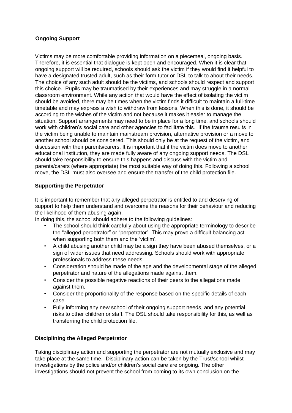# **Ongoing Support**

Victims may be more comfortable providing information on a piecemeal, ongoing basis. Therefore, it is essential that dialogue is kept open and encouraged. When it is clear that ongoing support will be required, schools should ask the victim if they would find it helpful to have a designated trusted adult, such as their form tutor or DSL to talk to about their needs. The choice of any such adult should be the victims, and schools should respect and support this choice. Pupils may be traumatised by their experiences and may struggle in a normal classroom environment. While any action that would have the effect of isolating the victim should be avoided, there may be times when the victim finds it difficult to maintain a full-time timetable and may express a wish to withdraw from lessons. When this is done, it should be according to the wishes of the victim and not because it makes it easier to manage the situation. Support arrangements may need to be in place for a long time, and schools should work with children's social care and other agencies to facilitate this. If the trauma results in the victim being unable to maintain mainstream provision, alternative provision or a move to another school should be considered. This should only be at the request of the victim, and discussion with their parents/carers. It is important that if the victim does move to another educational institution, they are made fully aware of any ongoing support needs. The DSL should take responsibility to ensure this happens and discuss with the victim and parents/carers (where appropriate) the most suitable way of doing this. Following a school move, the DSL must also oversee and ensure the transfer of the child protection file.

# **Supporting the Perpetrator**

It is important to remember that any alleged perpetrator is entitled to and deserving of support to help them understand and overcome the reasons for their behaviour and reducing the likelihood of them abusing again.

In doing this, the school should adhere to the following guidelines:

- The school should think carefully about using the appropriate terminology to describe the "alleged perpetrator" or "perpetrator". This may prove a difficult balancing act when supporting both them and the 'victim'.
- A child abusing another child may be a sign they have been abused themselves, or a sign of wider issues that need addressing. Schools should work with appropriate professionals to address these needs.
- Consideration should be made of the age and the developmental stage of the alleged perpetrator and nature of the allegations made against them.
- Consider the possible negative reactions of their peers to the allegations made against them.
- Consider the proportionality of the response based on the specific details of each case.
- Fully informing any new school of their ongoing support needs, and any potential risks to other children or staff. The DSL should take responsibility for this, as well as transferring the child protection file.

# **Disciplining the Alleged Perpetrator**

Taking disciplinary action and supporting the perpetrator are not mutually exclusive and may take place at the same time. Disciplinary action can be taken by the Trust/school whilst investigations by the police and/or children's social care are ongoing. The other investigations should not prevent the school from coming to its own conclusion on the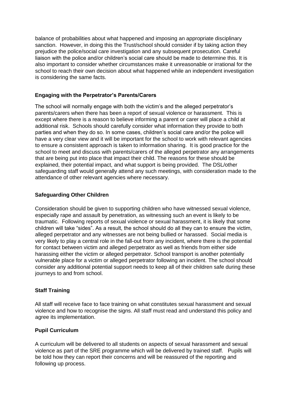balance of probabilities about what happened and imposing an appropriate disciplinary sanction. However, in doing this the Trust/school should consider if by taking action they prejudice the police/social care investigation and any subsequent prosecution. Careful liaison with the police and/or children's social care should be made to determine this. It is also important to consider whether circumstances make it unreasonable or irrational for the school to reach their own decision about what happened while an independent investigation is considering the same facts.

# **Engaging with the Perpetrator's Parents/Carers**

The school will normally engage with both the victim's and the alleged perpetrator's parents/carers when there has been a report of sexual violence or harassment. This is except where there is a reason to believe informing a parent or carer will place a child at additional risk. Schools should carefully consider what information they provide to both parties and when they do so. In some cases, children's social care and/or the police will have a very clear view and it will be important for the school to work with relevant agencies to ensure a consistent approach is taken to information sharing. It is good practice for the school to meet and discuss with parents/carers of the alleged perpetrator any arrangements that are being put into place that impact their child. The reasons for these should be explained, their potential impact, and what support is being provided. The DSL/other safeguarding staff would generally attend any such meetings, with consideration made to the attendance of other relevant agencies where necessary.

# **Safeguarding Other Children**

Consideration should be given to supporting children who have witnessed sexual violence, especially rape and assault by penetration, as witnessing such an event is likely to be traumatic. Following reports of sexual violence or sexual harassment, it is likely that some children will take "sides". As a result, the school should do all they can to ensure the victim, alleged perpetrator and any witnesses are not being bullied or harassed. Social media is very likely to play a central role in the fall-out from any incident, where there is the potential for contact between victim and alleged perpetrator as well as friends from either side harassing either the victim or alleged perpetrator. School transport is another potentially vulnerable place for a victim or alleged perpetrator following an incident. The school should consider any additional potential support needs to keep all of their children safe during these journeys to and from school.

# **Staff Training**

All staff will receive face to face training on what constitutes sexual harassment and sexual violence and how to recognise the signs. All staff must read and understand this policy and agree its implementation.

# **Pupil Curriculum**

A curriculum will be delivered to all students on aspects of sexual harassment and sexual violence as part of the SRE programme which will be delivered by trained staff. Pupils will be told how they can report their concerns and will be reassured of the reporting and following up process.